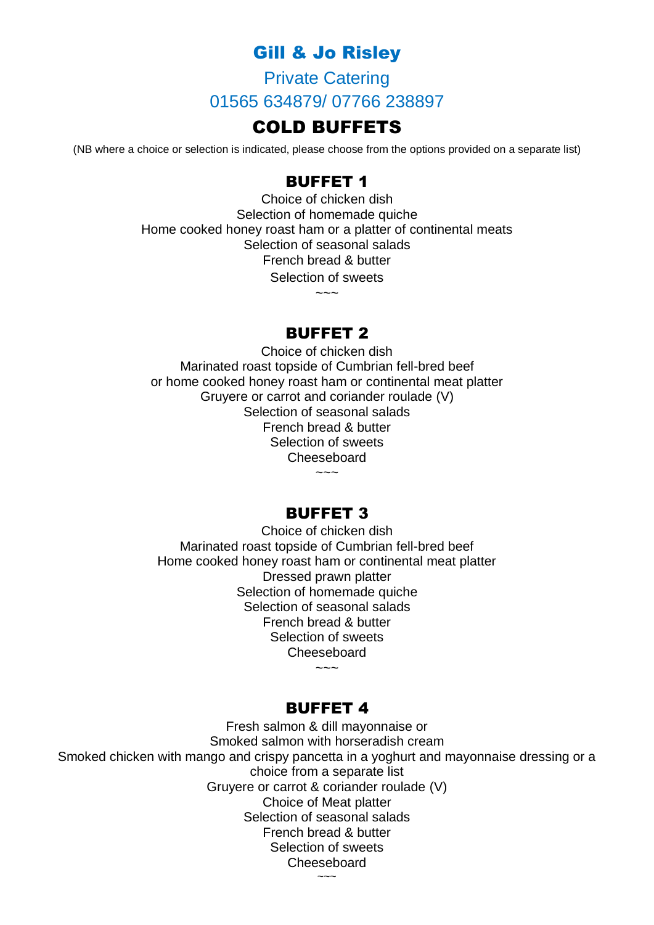# Gill & Jo Risley

Private Catering 01565 634879/ 07766 238897

## COLD BUFFETS

(NB where a choice or selection is indicated, please choose from the options provided on a separate list)

## BUFFET 1

Choice of chicken dish Selection of homemade quiche Home cooked honey roast ham or a platter of continental meats Selection of seasonal salads French bread & butter Selection of sweets

 $\sim\sim\sim$ 

#### BUFFET 2

Choice of chicken dish Marinated roast topside of Cumbrian fell-bred beef or home cooked honey roast ham or continental meat platter Gruyere or carrot and coriander roulade (V) Selection of seasonal salads French bread & butter Selection of sweets **Cheeseboard**  $\sim$   $\sim$ 

### BUFFET 3

Choice of chicken dish Marinated roast topside of Cumbrian fell-bred beef Home cooked honey roast ham or continental meat platter Dressed prawn platter Selection of homemade quiche Selection of seasonal salads French bread & butter Selection of sweets Cheeseboard

#### BUFFET 4

 $\sim\sim\sim$ 

Fresh salmon & dill mayonnaise or Smoked salmon with horseradish cream Smoked chicken with mango and crispy pancetta in a yoghurt and mayonnaise dressing or a choice from a separate list Gruyere or carrot & coriander roulade (V) Choice of Meat platter Selection of seasonal salads French bread & butter Selection of sweets Cheeseboard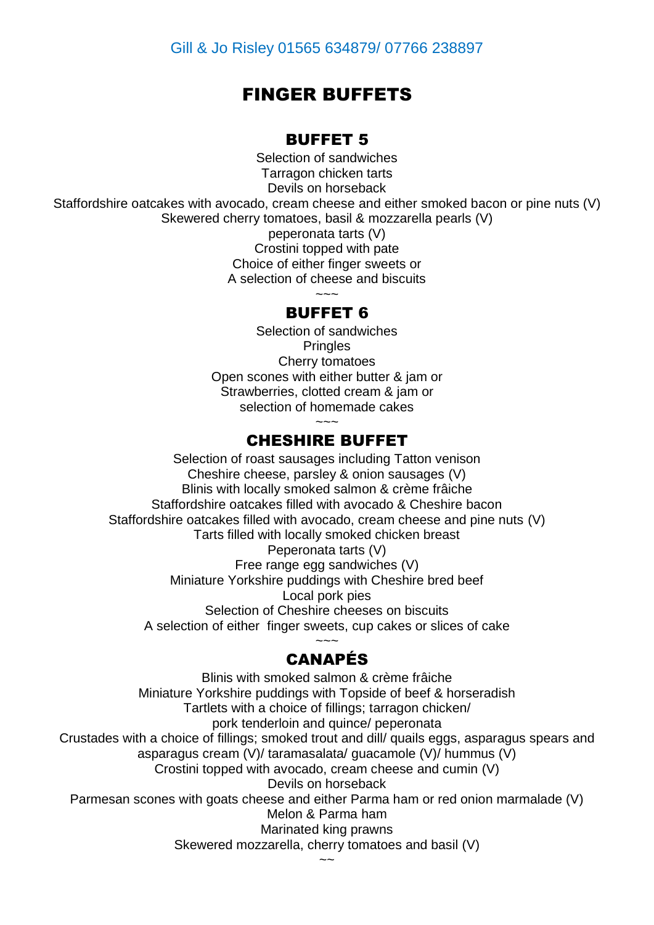# FINGER BUFFETS

#### BUFFET 5

Selection of sandwiches Tarragon chicken tarts Devils on horseback Staffordshire oatcakes with avocado, cream cheese and either smoked bacon or pine nuts (V) Skewered cherry tomatoes, basil & mozzarella pearls (V) peperonata tarts (V) Crostini topped with pate Choice of either finger sweets or A selection of cheese and biscuits ~~~

## BUFFET 6

Selection of sandwiches **Pringles** Cherry tomatoes Open scones with either butter & jam or Strawberries, clotted cream & jam or selection of homemade cakes

## CHESHIRE BUFFET

Selection of roast sausages including Tatton venison Cheshire cheese, parsley & onion sausages (V) Blinis with locally smoked salmon & crème frâiche Staffordshire oatcakes filled with avocado & Cheshire bacon Staffordshire oatcakes filled with avocado, cream cheese and pine nuts (V) Tarts filled with locally smoked chicken breast Peperonata tarts (V) Free range egg sandwiches (V) Miniature Yorkshire puddings with Cheshire bred beef Local pork pies Selection of Cheshire cheeses on biscuits A selection of either finger sweets, cup cakes or slices of cake  $\sim\sim\sim$ 

## CANAPÉS

Blinis with smoked salmon & crème frâiche Miniature Yorkshire puddings with Topside of beef & horseradish Tartlets with a choice of fillings; tarragon chicken/ pork tenderloin and quince/ peperonata Crustades with a choice of fillings; smoked trout and dill/ quails eggs, asparagus spears and asparagus cream (V)/ taramasalata/ guacamole (V)/ hummus (V) Crostini topped with avocado, cream cheese and cumin (V) Devils on horseback Parmesan scones with goats cheese and either Parma ham or red onion marmalade (V) Melon & Parma ham Marinated king prawns Skewered mozzarella, cherry tomatoes and basil (V)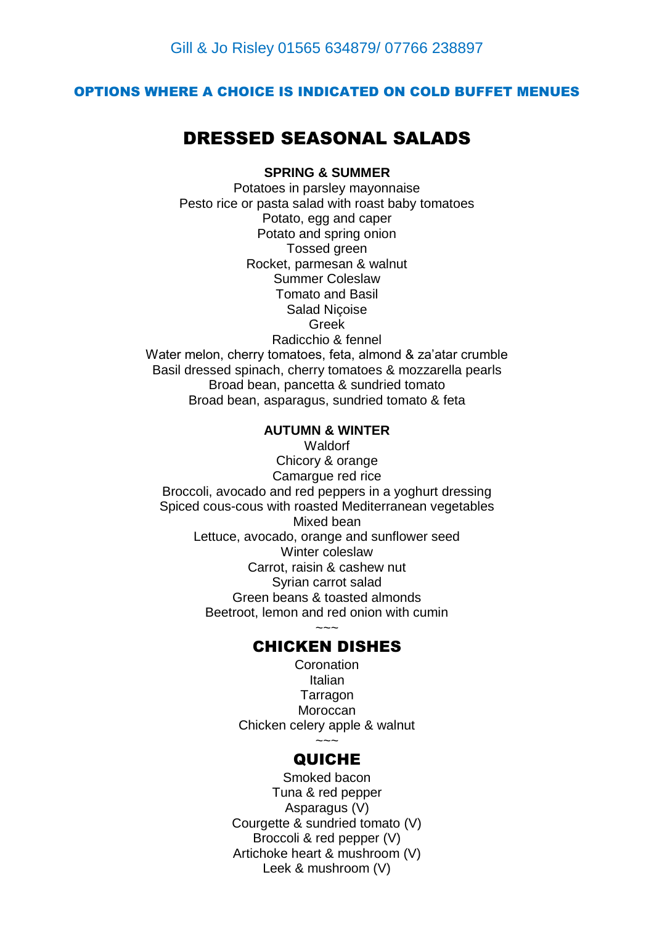#### OPTIONS WHERE A CHOICE IS INDICATED ON COLD BUFFET MENUES

# DRESSED SEASONAL SALADS

#### **SPRING & SUMMER**

Potatoes in parsley mayonnaise Pesto rice or pasta salad with roast baby tomatoes Potato, egg and caper Potato and spring onion Tossed green Rocket, parmesan & walnut Summer Coleslaw Tomato and Basil Salad Niçoise Greek Radicchio & fennel Water melon, cherry tomatoes, feta, almond & za'atar crumble Basil dressed spinach, cherry tomatoes & mozzarella pearls Broad bean, pancetta & sundried tomato Broad bean, asparagus, sundried tomato & feta

#### **AUTUMN & WINTER**

**Waldorf** Chicory & orange Camargue red rice Broccoli, avocado and red peppers in a yoghurt dressing Spiced cous-cous with roasted Mediterranean vegetables Mixed bean Lettuce, avocado, orange and sunflower seed Winter coleslaw Carrot, raisin & cashew nut Syrian carrot salad Green beans & toasted almonds Beetroot, lemon and red onion with cumin

## $\sim\sim\sim$ CHICKEN DISHES

**Coronation** Italian **Tarragon Moroccan** Chicken celery apple & walnut  $\sim\sim\sim$ 

#### QUICHE

Smoked bacon Tuna & red pepper Asparagus (V) Courgette & sundried tomato (V) Broccoli & red pepper (V) Artichoke heart & mushroom (V) Leek & mushroom (V)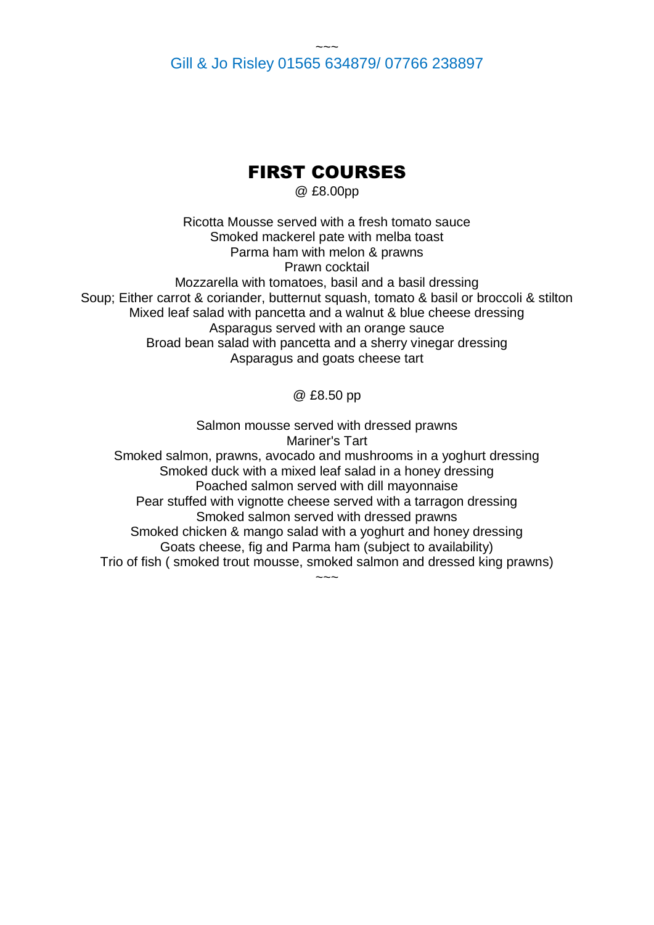#### $\sim\sim\sim$ Gill & Jo Risley 01565 634879/ 07766 238897

# FIRST COURSES

@ £8.00pp

Ricotta Mousse served with a fresh tomato sauce Smoked mackerel pate with melba toast Parma ham with melon & prawns Prawn cocktail Mozzarella with tomatoes, basil and a basil dressing Soup; Either carrot & coriander, butternut squash, tomato & basil or broccoli & stilton Mixed leaf salad with pancetta and a walnut & blue cheese dressing Asparagus served with an orange sauce Broad bean salad with pancetta and a sherry vinegar dressing Asparagus and goats cheese tart

@ £8.50 pp

Salmon mousse served with dressed prawns Mariner's Tart Smoked salmon, prawns, avocado and mushrooms in a yoghurt dressing Smoked duck with a mixed leaf salad in a honey dressing Poached salmon served with dill mayonnaise Pear stuffed with vignotte cheese served with a tarragon dressing Smoked salmon served with dressed prawns Smoked chicken & mango salad with a yoghurt and honey dressing Goats cheese, fig and Parma ham (subject to availability) Trio of fish ( smoked trout mousse, smoked salmon and dressed king prawns)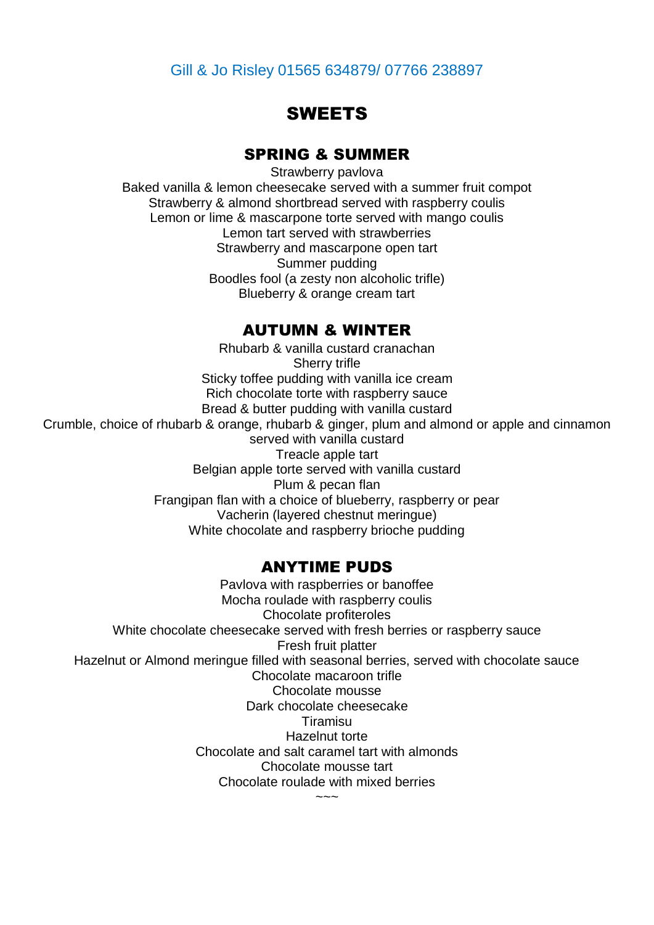## Gill & Jo Risley 01565 634879/ 07766 238897

## **SWEETS**

### SPRING & SUMMER

Strawberry pavlova Baked vanilla & lemon cheesecake served with a summer fruit compot Strawberry & almond shortbread served with raspberry coulis Lemon or lime & mascarpone torte served with mango coulis Lemon tart served with strawberries Strawberry and mascarpone open tart Summer pudding Boodles fool (a zesty non alcoholic trifle) Blueberry & orange cream tart

#### AUTUMN & WINTER

Rhubarb & vanilla custard cranachan Sherry trifle Sticky toffee pudding with vanilla ice cream Rich chocolate torte with raspberry sauce Bread & butter pudding with vanilla custard Crumble, choice of rhubarb & orange, rhubarb & ginger, plum and almond or apple and cinnamon served with vanilla custard Treacle apple tart Belgian apple torte served with vanilla custard Plum & pecan flan Frangipan flan with a choice of blueberry, raspberry or pear Vacherin (layered chestnut meringue) White chocolate and raspberry brioche pudding

#### ANYTIME PUDS

Pavlova with raspberries or banoffee Mocha roulade with raspberry coulis Chocolate profiteroles White chocolate cheesecake served with fresh berries or raspberry sauce Fresh fruit platter Hazelnut or Almond meringue filled with seasonal berries, served with chocolate sauce Chocolate macaroon trifle Chocolate mousse Dark chocolate cheesecake Tiramisu Hazelnut torte Chocolate and salt caramel tart with almonds Chocolate mousse tart Chocolate roulade with mixed berries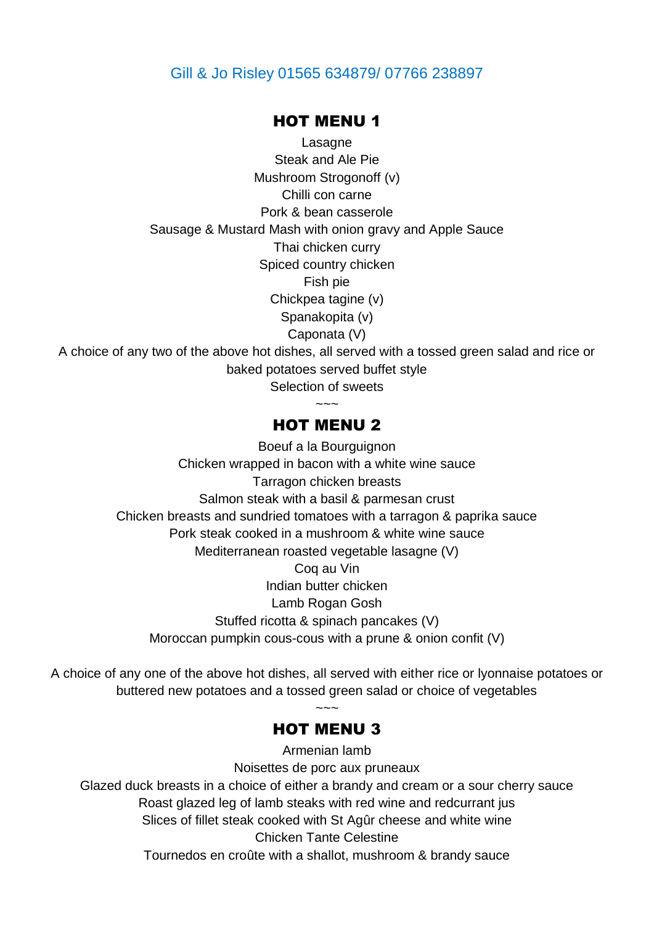#### Gill & Jo Risley 01565 634879/ 07766 238897

#### HOT MENU 1

Lasagne Steak and Ale Pie Mushroom Strogonoff (v) Chilli con carne Pork & bean casserole Sausage & Mustard Mash with onion gravy and Apple Sauce Thai chicken curry Spiced country chicken Fish pie Chickpea tagine (v) Spanakopita (v) Caponata (V) A choice of any two of the above hot dishes, all served with a tossed green salad and rice or baked potatoes served buffet style Selection of sweets

### HOT MENU 2

~~~~~

Boeuf a la Bourguignon Chicken wrapped in bacon with a white wine sauce Tarragon chicken breasts Salmon steak with a basil & parmesan crust Chicken breasts and sundried tomatoes with a tarragon & paprika sauce Pork steak cooked in a mushroom & white wine sauce Mediterranean roasted vegetable lasagne (V) Coq au Vin Indian butter chicken Lamb Rogan Gosh Stuffed ricotta & spinach pancakes (V) Moroccan pumpkin cous-cous with a prune & onion confit (V)

A choice of any one of the above hot dishes, all served with either rice or lyonnaise potatoes or buttered new potatoes and a tossed green salad or choice of vegetables

## HOT MENU 3

Armenian lamb Noisettes de porc aux pruneaux Glazed duck breasts in a choice of either a brandy and cream or a sour cherry sauce Roast glazed leg of lamb steaks with red wine and redcurrant jus Slices of fillet steak cooked with St Agûr cheese and white wine Chicken Tante Celestine Tournedos en croûte with a shallot, mushroom & brandy sauce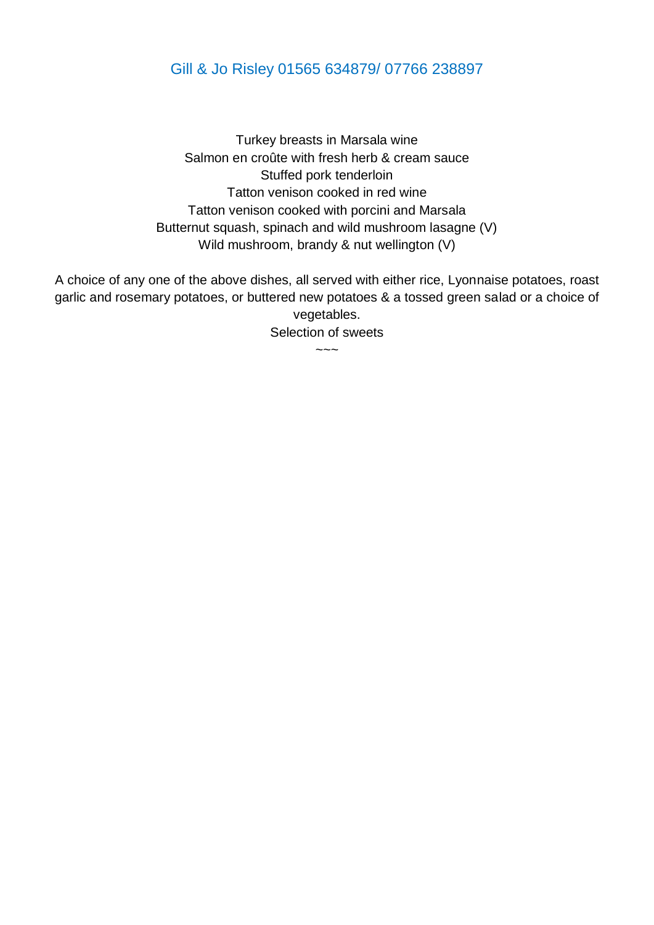## Gill & Jo Risley 01565 634879/ 07766 238897

Turkey breasts in Marsala wine Salmon en croûte with fresh herb & cream sauce Stuffed pork tenderloin Tatton venison cooked in red wine Tatton venison cooked with porcini and Marsala Butternut squash, spinach and wild mushroom lasagne (V) Wild mushroom, brandy & nut wellington (V)

A choice of any one of the above dishes, all served with either rice, Lyonnaise potatoes, roast garlic and rosemary potatoes, or buttered new potatoes & a tossed green salad or a choice of vegetables.

Selection of sweets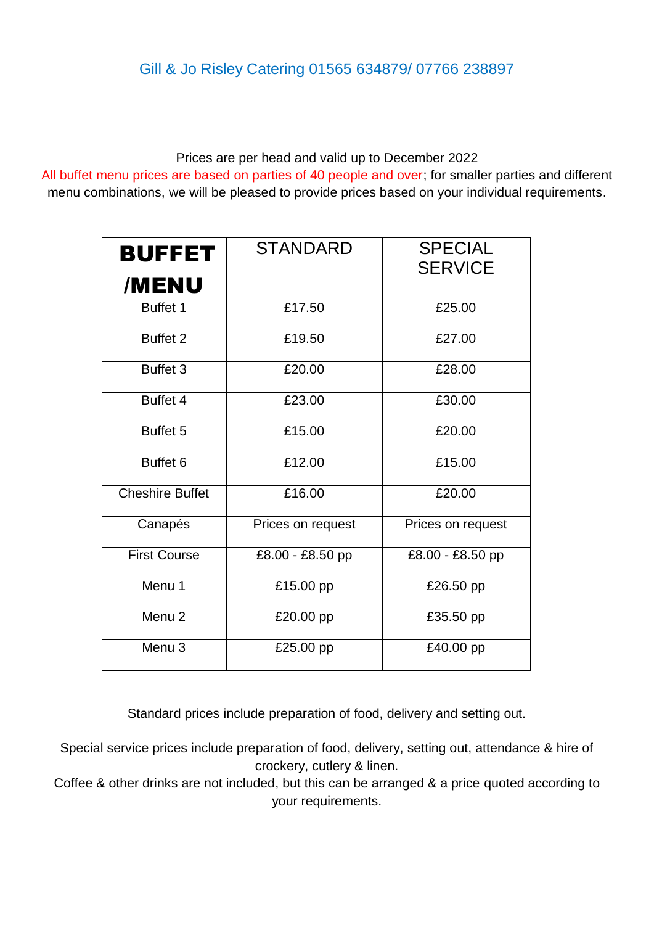# Gill & Jo Risley Catering 01565 634879/ 07766 238897

Prices are per head and valid up to December 2022

All buffet menu prices are based on parties of 40 people and over; for smaller parties and different menu combinations, we will be pleased to provide prices based on your individual requirements.

| <b>BUFFET</b><br>/MENU | <b>STANDARD</b>   | <b>SPECIAL</b><br><b>SERVICE</b> |
|------------------------|-------------------|----------------------------------|
| Buffet 1               | £17.50            | £25.00                           |
| Buffet <sub>2</sub>    | £19.50            | £27.00                           |
| Buffet 3               | £20.00            | £28.00                           |
| Buffet 4               | £23.00            | £30.00                           |
| Buffet <sub>5</sub>    | £15.00            | £20.00                           |
| Buffet <sub>6</sub>    | £12.00            | £15.00                           |
| <b>Cheshire Buffet</b> | £16.00            | £20.00                           |
| Canapés                | Prices on request | Prices on request                |
| <b>First Course</b>    | £8.00 - £8.50 pp  | £8.00 - £8.50 pp                 |
| Menu 1                 | £15.00 pp         | £26.50 pp                        |
| Menu <sub>2</sub>      | £20.00 pp         | £35.50 pp                        |
| Menu <sub>3</sub>      | £25.00 pp         | £40.00 pp                        |

Standard prices include preparation of food, delivery and setting out.

Special service prices include preparation of food, delivery, setting out, attendance & hire of crockery, cutlery & linen.

Coffee & other drinks are not included, but this can be arranged & a price quoted according to your requirements.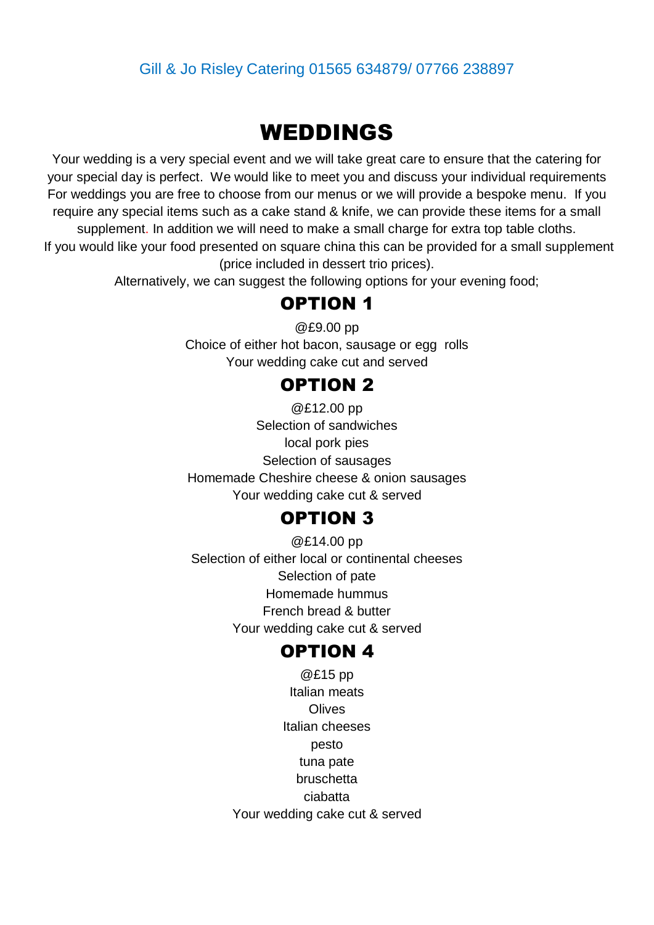## Gill & Jo Risley Catering 01565 634879/ 07766 238897

# WEDDINGS

Your wedding is a very special event and we will take great care to ensure that the catering for your special day is perfect. We would like to meet you and discuss your individual requirements For weddings you are free to choose from our menus or we will provide a bespoke menu. If you require any special items such as a cake stand & knife, we can provide these items for a small supplement. In addition we will need to make a small charge for extra top table cloths. If you would like your food presented on square china this can be provided for a small supplement (price included in dessert trio prices).

Alternatively, we can suggest the following options for your evening food;

## OPTION 1

@£9.00 pp Choice of either hot bacon, sausage or egg rolls Your wedding cake cut and served

# OPTION 2

@£12.00 pp Selection of sandwiches local pork pies Selection of sausages Homemade Cheshire cheese & onion sausages Your wedding cake cut & served

# OPTION 3

@£14.00 pp Selection of either local or continental cheeses Selection of pate Homemade hummus French bread & butter Your wedding cake cut & served

## OPTION 4

@£15 pp Italian meats **Olives** Italian cheeses pesto tuna pate bruschetta ciabatta Your wedding cake cut & served